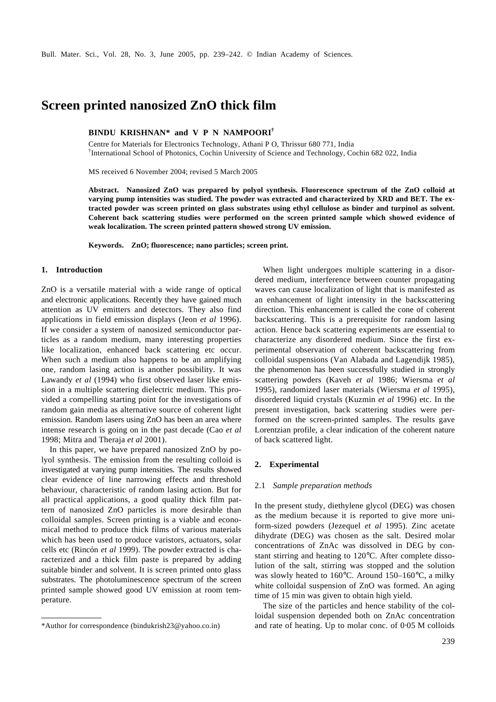# **Screen printed nanosized ZnO thick film**

**BINDU KRISHNAN\* and V P N NAMPOORI†**

Centre for Materials for Electronics Technology, Athani P O, Thrissur 680 771, India † International School of Photonics, Cochin University of Science and Technology, Cochin 682 022, India

MS received 6 November 2004; revised 5 March 2005

**Abstract. Nanosized ZnO was prepared by polyol synthesis. Fluorescence spectrum of the ZnO colloid at varying pump intensities was studied. The powder was extracted and characterized by XRD and BET. The extracted powder was screen printed on glass substrates using ethyl cellulose as binder and turpinol as solvent. Coherent back scattering studies were performed on the screen printed sample which showed evidence of weak localization. The screen printed pattern showed strong UV emission.**

**Keywords. ZnO; fluorescence; nano particles; screen print.**

# **1. Introduction**

ZnO is a versatile material with a wide range of optical and electronic applications. Recently they have gained much attention as UV emitters and detectors. They also find applications in field emission displays (Jeon *et al* 1996). If we consider a system of nanosized semiconductor particles as a random medium, many interesting properties like localization, enhanced back scattering etc occur. When such a medium also happens to be an amplifying one, random lasing action is another possibility. It was Lawandy *et al* (1994) who first observed laser like emission in a multiple scattering dielectric medium. This provided a compelling starting point for the investigations of random gain media as alternative source of coherent light emission. Random lasers using ZnO has been an area where intense research is going on in the past decade (Cao *et al* 1998; Mitra and Theraja *et al* 2001).

In this paper, we have prepared nanosized ZnO by polyol synthesis. The emission from the resulting colloid is investigated at varying pump intensities. The results showed clear evidence of line narrowing effects and threshold behaviour, characteristic of random lasing action. But for all practical applications, a good quality thick film pattern of nanosized ZnO particles is more desirable than colloidal samples. Screen printing is a viable and economical method to produce thick films of various materials which has been used to produce varistors, actuators, solar cells etc (Rincón *et al* 1999). The powder extracted is characterized and a thick film paste is prepared by adding suitable binder and solvent. It is screen printed onto glass substrates. The photoluminescence spectrum of the screen printed sample showed good UV emission at room temperature.

When light undergoes multiple scattering in a disordered medium, interference between counter propagating waves can cause localization of light that is manifested as an enhancement of light intensity in the backscattering direction. This enhancement is called the cone of coherent backscattering. This is a prerequisite for random lasing action. Hence back scattering experiments are essential to characterize any disordered medium. Since the first experimental observation of coherent backscattering from colloidal suspensions (Van Alabada and Lagendijk 1985), the phenomenon has been successfully studied in strongly scattering powders (Kaveh *et al* 1986; Wiersma *et al* 1995), randomized laser materials (Wiersma *et al* 1995), disordered liquid crystals (Kuzmin *et al* 1996) etc. In the present investigation, back scattering studies were performed on the screen-printed samples. The results gave Lorentzian profile, a clear indication of the coherent nature of back scattered light.

### **2. Experimental**

### 2.1 *Sample preparation methods*

In the present study, diethylene glycol (DEG) was chosen as the medium because it is reported to give more uniform-sized powders (Jezequel *et al* 1995). Zinc acetate dihydrate (DEG) was chosen as the salt. Desired molar concentrations of ZnAc was dissolved in DEG by constant stirring and heating to 120°C. After complete dissolution of the salt, stirring was stopped and the solution was slowly heated to 160°C. Around 150–160°C, a milky white colloidal suspension of ZnO was formed. An aging time of 15 min was given to obtain high yield.

The size of the particles and hence stability of the colloidal suspension depended both on ZnAc concentration \*Author for correspondence (bindukrish23@yahoo.co.in) and rate of heating. Up to molar conc. of 0⋅05 M colloids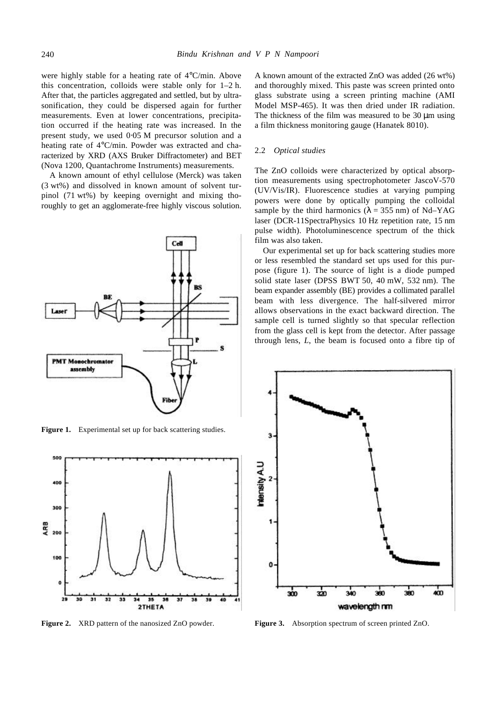were highly stable for a heating rate of 4°C/min. Above this concentration, colloids were stable only for 1–2 h. After that, the particles aggregated and settled, but by ultrasonification, they could be dispersed again for further measurements. Even at lower concentrations, precipitation occurred if the heating rate was increased. In the present study, we used 0⋅05 M precursor solution and a heating rate of 4°C/min. Powder was extracted and characterized by XRD (AXS Bruker Diffractometer) and BET (Nova 1200, Quantachrome Instruments) measurements.

A known amount of ethyl cellulose (Merck) was taken (3 wt%) and dissolved in known amount of solvent turpinol (71 wt%) by keeping overnight and mixing thoroughly to get an agglomerate-free highly viscous solution.



Figure 1. Experimental set up for back scattering studies.



**Figure 2.** XRD pattern of the nanosized ZnO powder. **Figure 3.** Absorption spectrum of screen printed ZnO.

A known amount of the extracted ZnO was added (26 wt%) and thoroughly mixed. This paste was screen printed onto glass substrate using a screen printing machine (AMI Model MSP-465). It was then dried under IR radiation. The thickness of the film was measured to be 30 μm using a film thickness monitoring gauge (Hanatek 8010).

# 2.2 *Optical studies*

The ZnO colloids were characterized by optical absorption measurements using spectrophotometer JascoV-570 (UV/Vis/IR). Fluorescence studies at varying pumping powers were done by optically pumping the colloidal sample by the third harmonics ( $\mathbf{l} = 355$  nm) of Nd–YAG laser (DCR-11SpectraPhysics 10 Hz repetition rate, 15 nm pulse width). Photoluminescence spectrum of the thick film was also taken.

Our experimental set up for back scattering studies more or less resembled the standard set ups used for this purpose (figure 1). The source of light is a diode pumped solid state laser (DPSS BWT 50, 40 mW, 532 nm). The beam expander assembly (BE) provides a collimated parallel beam with less divergence. The half-silvered mirror allows observations in the exact backward direction. The sample cell is turned slightly so that specular reflection from the glass cell is kept from the detector. After passage through lens, *L*, the beam is focused onto a fibre tip of

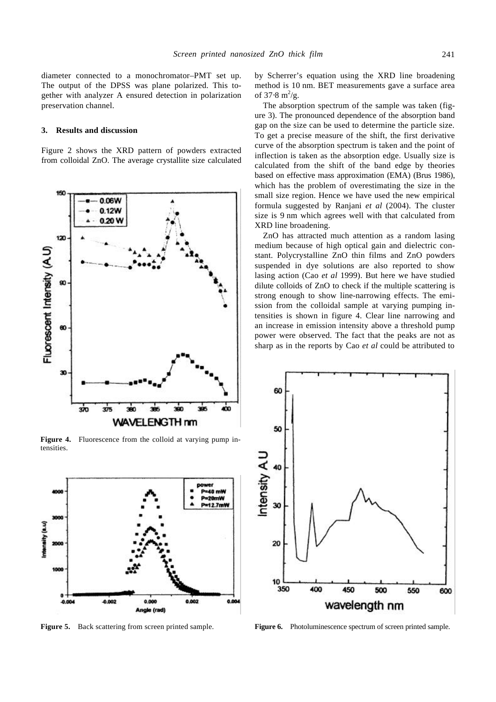diameter connected to a monochromator–PMT set up. The output of the DPSS was plane polarized. This together with analyzer A ensured detection in polarization preservation channel.

#### **3. Results and discussion**

Figure 2 shows the XRD pattern of powders extracted from colloidal ZnO. The average crystallite size calculated



Figure 4. Fluorescence from the colloid at varying pump intensities.



by Scherrer's equation using the XRD line broadening method is 10 nm. BET measurements gave a surface area of 37.8  $m^2/g$ .

The absorption spectrum of the sample was taken (figure 3). The pronounced dependence of the absorption band gap on the size can be used to determine the particle size. To get a precise measure of the shift, the first derivative curve of the absorption spectrum is taken and the point of inflection is taken as the absorption edge. Usually size is calculated from the shift of the band edge by theories based on effective mass approximation (EMA) (Brus 1986), which has the problem of overestimating the size in the small size region. Hence we have used the new empirical formula suggested by Ranjani *et al* (2004). The cluster size is 9 nm which agrees well with that calculated from XRD line broadening.

ZnO has attracted much attention as a random lasing medium because of high optical gain and dielectric constant. Polycrystalline ZnO thin films and ZnO powders suspended in dye solutions are also reported to show lasing action (Cao *et al* 1999). But here we have studied dilute colloids of ZnO to check if the multiple scattering is strong enough to show line-narrowing effects. The emission from the colloidal sample at varying pumping intensities is shown in figure 4. Clear line narrowing and an increase in emission intensity above a threshold pump power were observed. The fact that the peaks are not as sharp as in the reports by Cao *et al* could be attributed to



**Figure 5.** Back scattering from screen printed sample. **Figure 6.** Photoluminescence spectrum of screen printed sample.